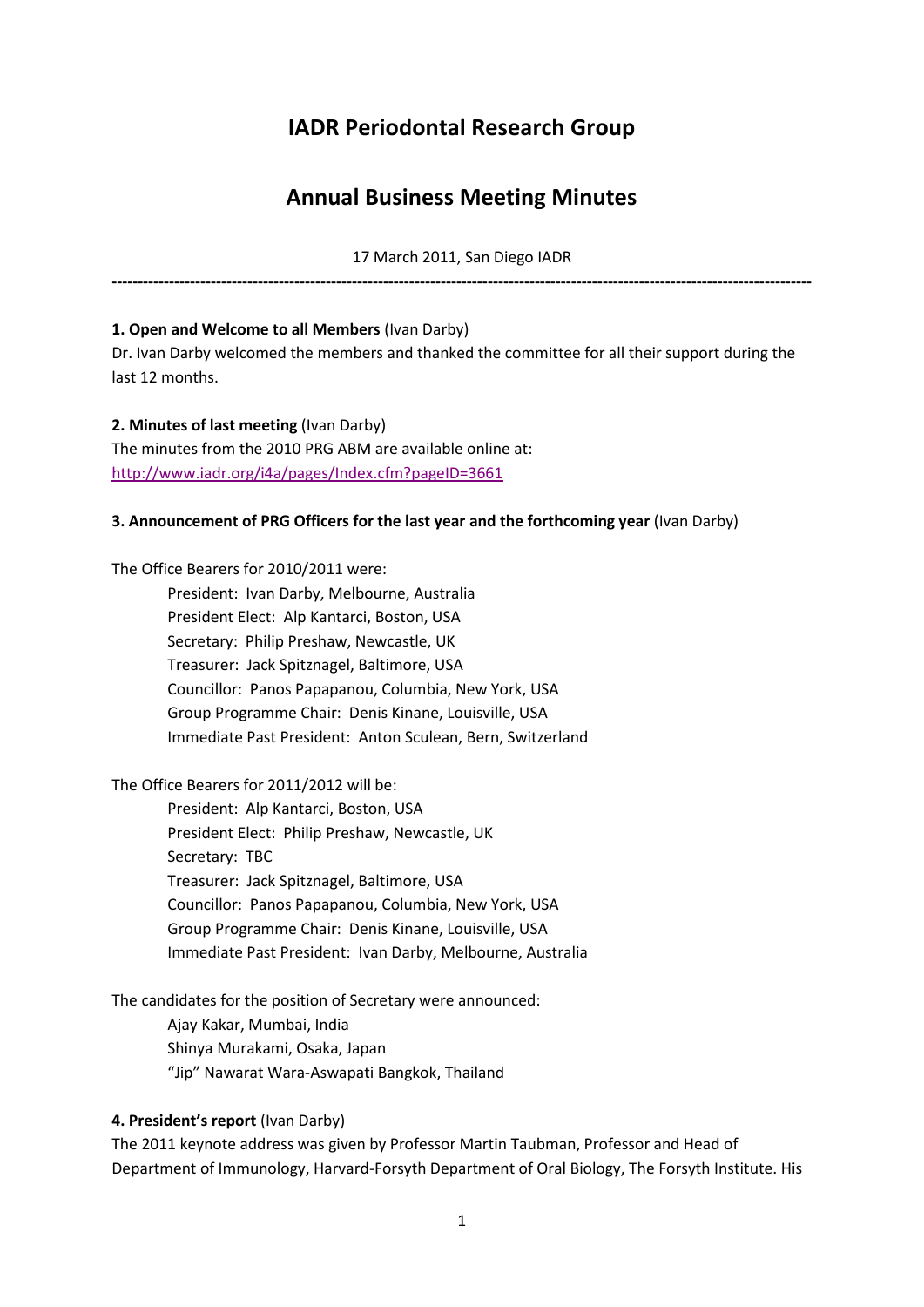# **IADR Periodontal Research Group**

# **Annual Business Meeting Minutes**

17 March 2011, San Diego IADR

**--------------------------------------------------------------------------------------------------------------------------------------**

#### **1. Open and Welcome to all Members** (Ivan Darby)

Dr. Ivan Darby welcomed the members and thanked the committee for all their support during the last 12 months.

**2. Minutes of last meeting** (Ivan Darby) The minutes from the 2010 PRG ABM are available online at: <http://www.iadr.org/i4a/pages/Index.cfm?pageID=3661>

#### **3. Announcement of PRG Officers for the last year and the forthcoming year** (Ivan Darby)

The Office Bearers for 2010/2011 were:

President: Ivan Darby, Melbourne, Australia President Elect: Alp Kantarci, Boston, USA Secretary: Philip Preshaw, Newcastle, UK Treasurer: Jack Spitznagel, Baltimore, USA Councillor: Panos Papapanou, Columbia, New York, USA Group Programme Chair: Denis Kinane, Louisville, USA Immediate Past President: Anton Sculean, Bern, Switzerland

The Office Bearers for 2011/2012 will be:

President: Alp Kantarci, Boston, USA President Elect: Philip Preshaw, Newcastle, UK Secretary: TBC Treasurer: Jack Spitznagel, Baltimore, USA Councillor: Panos Papapanou, Columbia, New York, USA Group Programme Chair: Denis Kinane, Louisville, USA Immediate Past President: Ivan Darby, Melbourne, Australia

The candidates for the position of Secretary were announced:

Ajay Kakar, Mumbai, India Shinya Murakami, Osaka, Japan "Jip" Nawarat Wara-Aswapati Bangkok, Thailand

## **4. President's report** (Ivan Darby)

The 2011 keynote address was given by Professor Martin Taubman, Professor and Head of Department of Immunology, Harvard-Forsyth Department of Oral Biology, The Forsyth Institute. His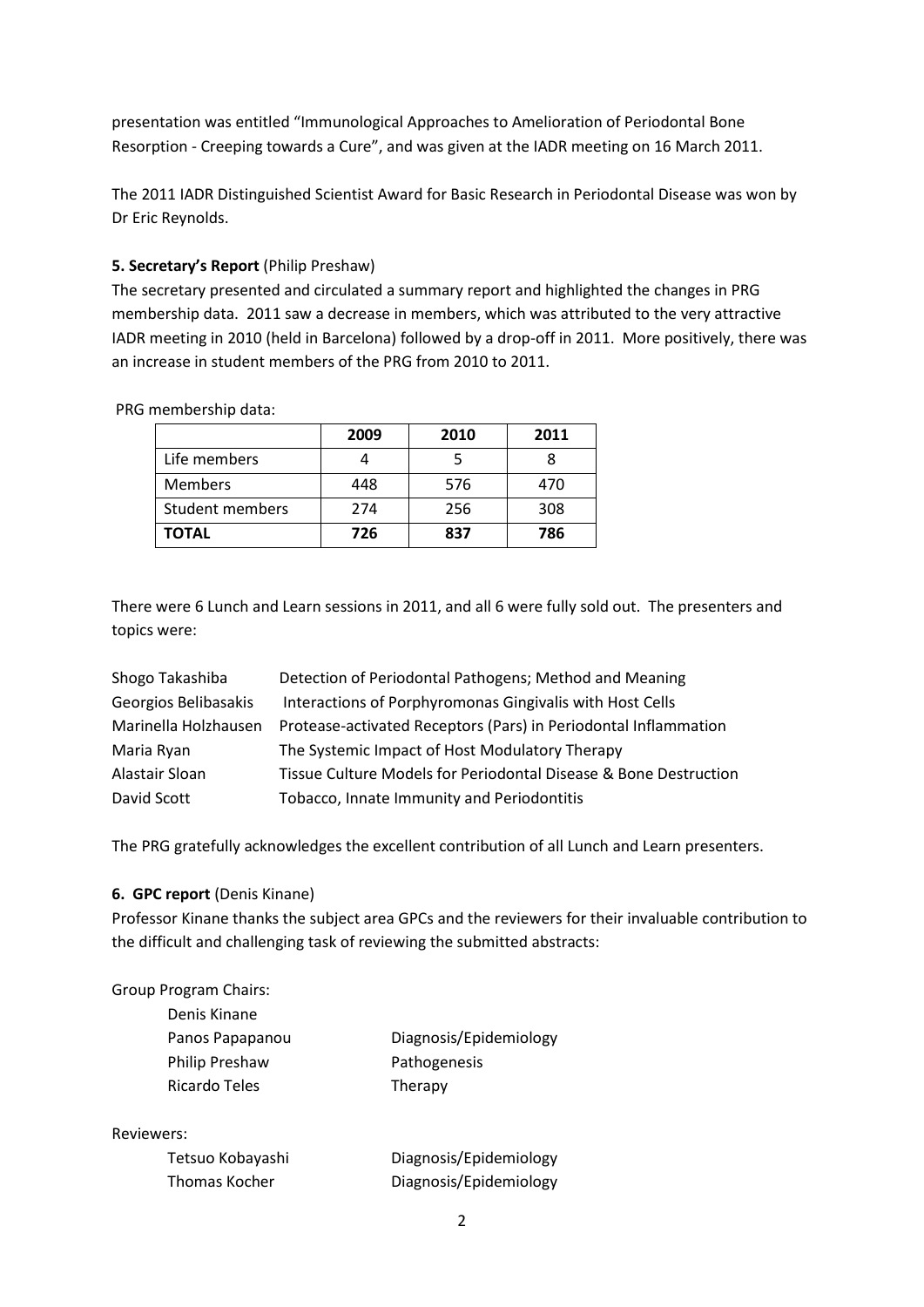presentation was entitled "Immunological Approaches to Amelioration of Periodontal Bone Resorption - Creeping towards a Cure", and was given at the IADR meeting on 16 March 2011.

The 2011 IADR Distinguished Scientist Award for Basic Research in Periodontal Disease was won by Dr Eric Reynolds.

#### **5. Secretary's Report** (Philip Preshaw)

The secretary presented and circulated a summary report and highlighted the changes in PRG membership data. 2011 saw a decrease in members, which was attributed to the very attractive IADR meeting in 2010 (held in Barcelona) followed by a drop-off in 2011. More positively, there was an increase in student members of the PRG from 2010 to 2011.

PRG membership data:

|                 | 2009 | 2010 | 2011 |
|-----------------|------|------|------|
| Life members    |      |      |      |
| <b>Members</b>  | 448  | 576  | 470  |
| Student members | 274  | 256  | 308  |
| TOTAL           | 726  | 837  | 786  |

There were 6 Lunch and Learn sessions in 2011, and all 6 were fully sold out. The presenters and topics were:

| Detection of Periodontal Pathogens; Method and Meaning           |
|------------------------------------------------------------------|
| Interactions of Porphyromonas Gingivalis with Host Cells         |
| Protease-activated Receptors (Pars) in Periodontal Inflammation  |
| The Systemic Impact of Host Modulatory Therapy                   |
| Tissue Culture Models for Periodontal Disease & Bone Destruction |
| Tobacco, Innate Immunity and Periodontitis                       |
|                                                                  |

The PRG gratefully acknowledges the excellent contribution of all Lunch and Learn presenters.

#### **6. GPC report** (Denis Kinane)

Professor Kinane thanks the subject area GPCs and the reviewers for their invaluable contribution to the difficult and challenging task of reviewing the submitted abstracts:

| <b>Group Program Chairs:</b> |  |
|------------------------------|--|
| Denis Kinane                 |  |
|                              |  |

| Panos Papapanou       | Diagnosis/Epidemiology |
|-----------------------|------------------------|
| <b>Philip Preshaw</b> | Pathogenesis           |
| Ricardo Teles         | Therapy                |

#### Reviewers:

| Tetsuo Kobayashi | Diagnosis/Epidemiology |
|------------------|------------------------|
| Thomas Kocher    | Diagnosis/Epidemiology |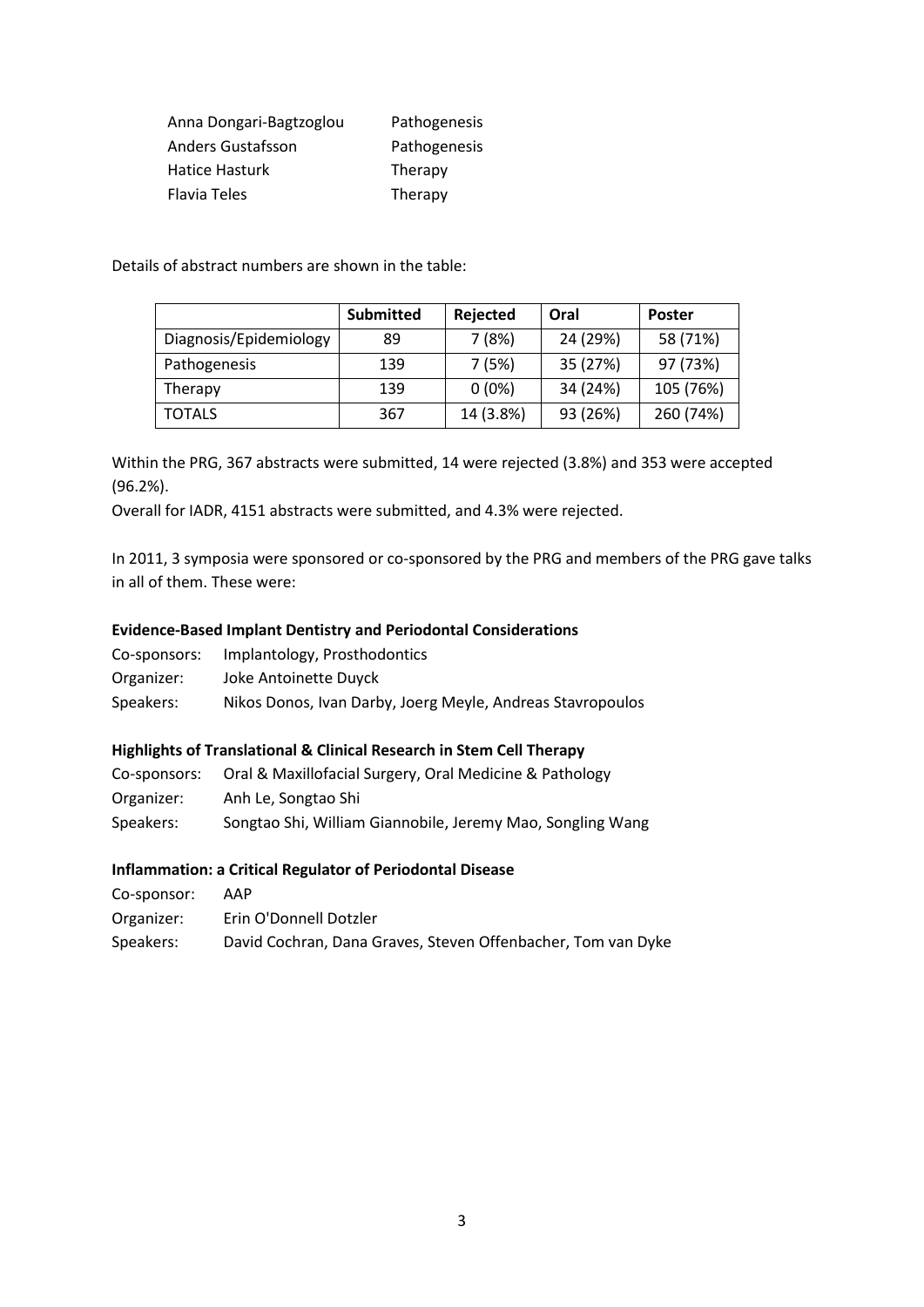| Anna Dongari-Bagtzoglou | Pathogenesis |
|-------------------------|--------------|
| Anders Gustafsson       | Pathogenesis |
| Hatice Hasturk          | Therapy      |
| Flavia Teles            | Therapy      |

Details of abstract numbers are shown in the table:

|                        | <b>Submitted</b> | Rejected  | Oral     | <b>Poster</b> |
|------------------------|------------------|-----------|----------|---------------|
| Diagnosis/Epidemiology | 89               | 7(8%)     | 24 (29%) | 58 (71%)      |
| Pathogenesis           | 139              | 7(5%)     | 35 (27%) | 97 (73%)      |
| Therapy                | 139              | $0(0\%)$  | 34 (24%) | 105 (76%)     |
| <b>TOTALS</b>          | 367              | 14 (3.8%) | 93 (26%) | 260 (74%)     |

Within the PRG, 367 abstracts were submitted, 14 were rejected (3.8%) and 353 were accepted (96.2%).

Overall for IADR, 4151 abstracts were submitted, and 4.3% were rejected.

In 2011, 3 symposia were sponsored or co-sponsored by the PRG and members of the PRG gave talks in all of them. These were:

#### **Evidence-Based Implant Dentistry and Periodontal Considerations**

| Co-sponsors: | Implantology, Prosthodontics                               |
|--------------|------------------------------------------------------------|
| Organizer:   | Joke Antoinette Duyck                                      |
| Speakers:    | Nikos Donos, Ivan Darby, Joerg Meyle, Andreas Stavropoulos |

## **Highlights of Translational & Clinical Research in Stem Cell Therapy**

| Co-sponsors: | Oral & Maxillofacial Surgery, Oral Medicine & Pathology    |
|--------------|------------------------------------------------------------|
| Organizer:   | Anh Le, Songtao Shi                                        |
| Speakers:    | Songtao Shi, William Giannobile, Jeremy Mao, Songling Wang |

#### **Inflammation: a Critical Regulator of Periodontal Disease**

| Co-sponsor: | AAP |
|-------------|-----|
|             |     |

| Organizer: | Erin O'Donnell Dotzler                                       |
|------------|--------------------------------------------------------------|
| Speakers:  | David Cochran, Dana Graves, Steven Offenbacher, Tom van Dyke |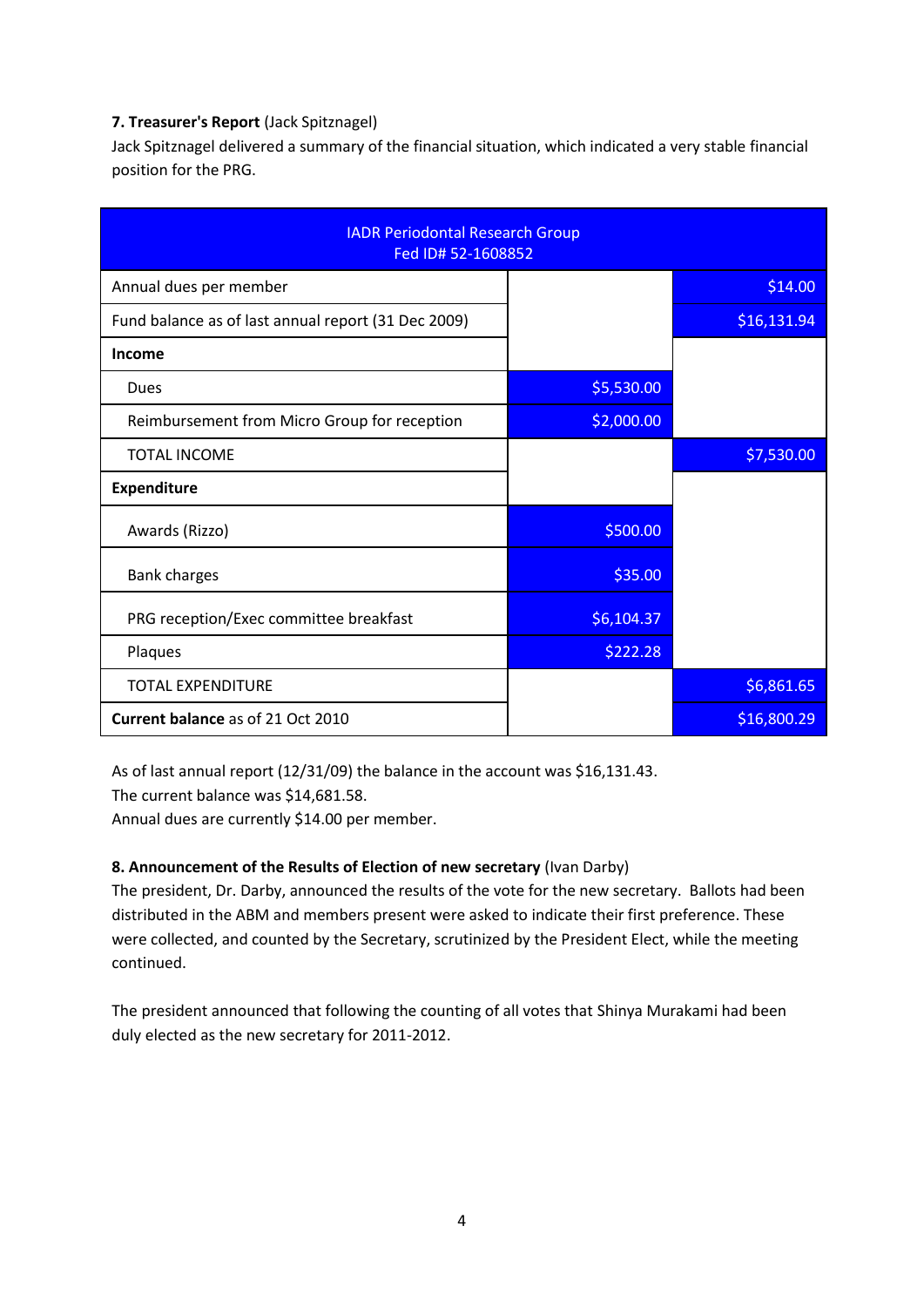## **7. Treasurer's Report** (Jack Spitznagel)

Jack Spitznagel delivered a summary of the financial situation, which indicated a very stable financial position for the PRG.

| <b>IADR Periodontal Research Group</b><br>Fed ID# 52-1608852 |            |             |  |
|--------------------------------------------------------------|------------|-------------|--|
| Annual dues per member                                       |            | \$14.00     |  |
| Fund balance as of last annual report (31 Dec 2009)          |            | \$16,131.94 |  |
| <b>Income</b>                                                |            |             |  |
| Dues                                                         | \$5,530.00 |             |  |
| Reimbursement from Micro Group for reception                 | \$2,000.00 |             |  |
| <b>TOTAL INCOME</b>                                          |            | \$7,530.00  |  |
| <b>Expenditure</b>                                           |            |             |  |
| Awards (Rizzo)                                               | \$500.00   |             |  |
| <b>Bank charges</b>                                          | \$35.00    |             |  |
| PRG reception/Exec committee breakfast                       | \$6,104.37 |             |  |
| Plaques                                                      | \$222.28   |             |  |
| <b>TOTAL EXPENDITURE</b>                                     |            | \$6,861.65  |  |
| <b>Current balance as of 21 Oct 2010</b>                     |            | \$16,800.29 |  |

As of last annual report (12/31/09) the balance in the account was \$16,131.43.

The current balance was \$14,681.58.

Annual dues are currently \$14.00 per member.

## **8. Announcement of the Results of Election of new secretary** (Ivan Darby)

The president, Dr. Darby, announced the results of the vote for the new secretary. Ballots had been distributed in the ABM and members present were asked to indicate their first preference. These were collected, and counted by the Secretary, scrutinized by the President Elect, while the meeting continued.

The president announced that following the counting of all votes that Shinya Murakami had been duly elected as the new secretary for 2011-2012.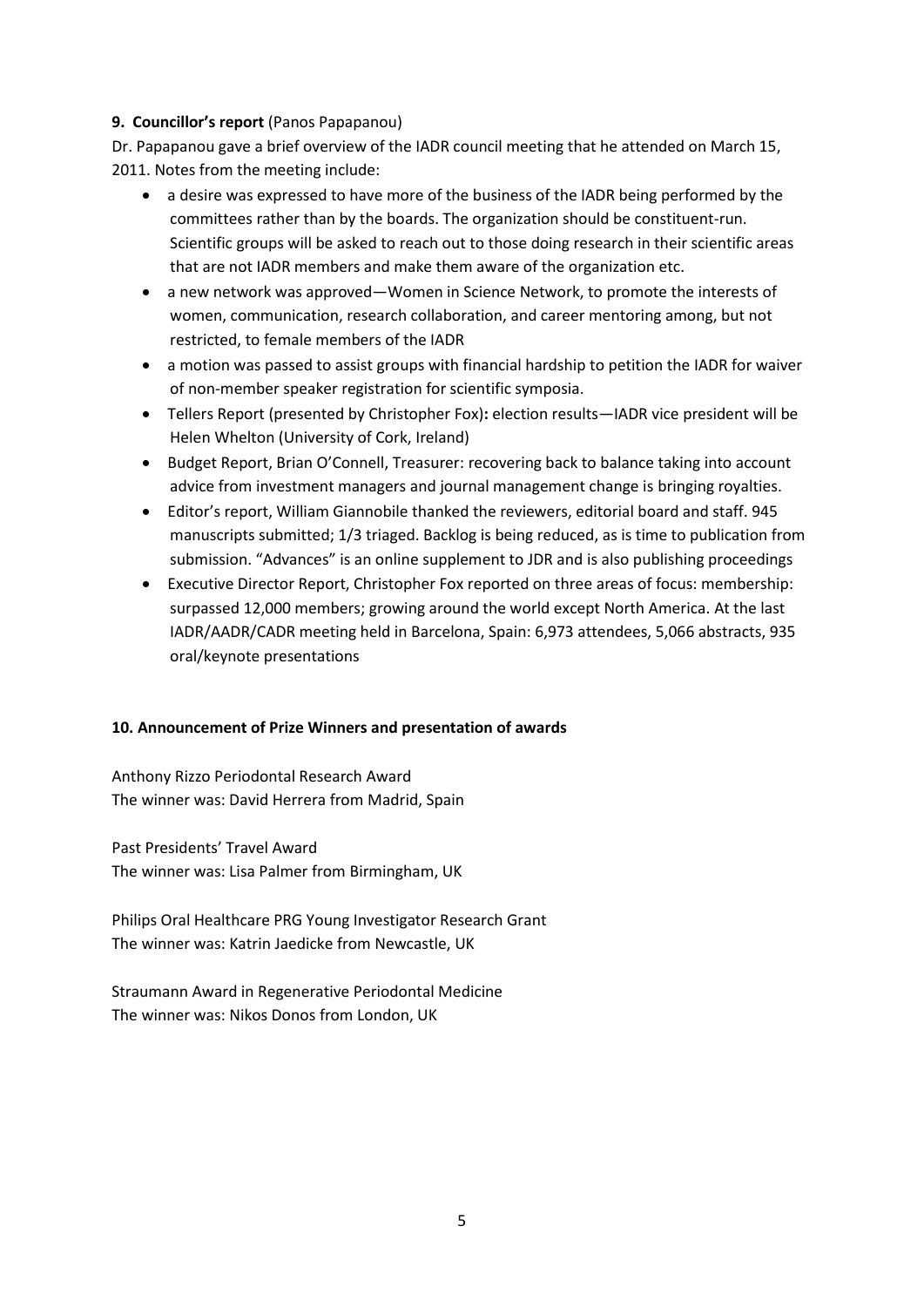#### **9. Councillor's report** (Panos Papapanou)

Dr. Papapanou gave a brief overview of the IADR council meeting that he attended on March 15, 2011. Notes from the meeting include:

- a desire was expressed to have more of the business of the IADR being performed by the committees rather than by the boards. The organization should be constituent-run. Scientific groups will be asked to reach out to those doing research in their scientific areas that are not IADR members and make them aware of the organization etc.
- a new network was approved—Women in Science Network, to promote the interests of women, communication, research collaboration, and career mentoring among, but not restricted, to female members of the IADR
- a motion was passed to assist groups with financial hardship to petition the IADR for waiver of non-member speaker registration for scientific symposia.
- Tellers Report (presented by Christopher Fox)**:** election results—IADR vice president will be Helen Whelton (University of Cork, Ireland)
- Budget Report, Brian O'Connell, Treasurer: recovering back to balance taking into account advice from investment managers and journal management change is bringing royalties.
- Editor's report, William Giannobile thanked the reviewers, editorial board and staff. 945 manuscripts submitted; 1/3 triaged. Backlog is being reduced, as is time to publication from submission. "Advances" is an online supplement to JDR and is also publishing proceedings
- Executive Director Report, Christopher Fox reported on three areas of focus: membership: surpassed 12,000 members; growing around the world except North America. At the last IADR/AADR/CADR meeting held in Barcelona, Spain: 6,973 attendees, 5,066 abstracts, 935 oral/keynote presentations

## **10. Announcement of Prize Winners and presentation of awards**

Anthony Rizzo Periodontal Research Award The winner was: David Herrera from Madrid, Spain

Past Presidents' Travel Award The winner was: Lisa Palmer from Birmingham, UK

Philips Oral Healthcare PRG Young Investigator Research Grant The winner was: Katrin Jaedicke from Newcastle, UK

Straumann Award in Regenerative Periodontal Medicine The winner was: Nikos Donos from London, UK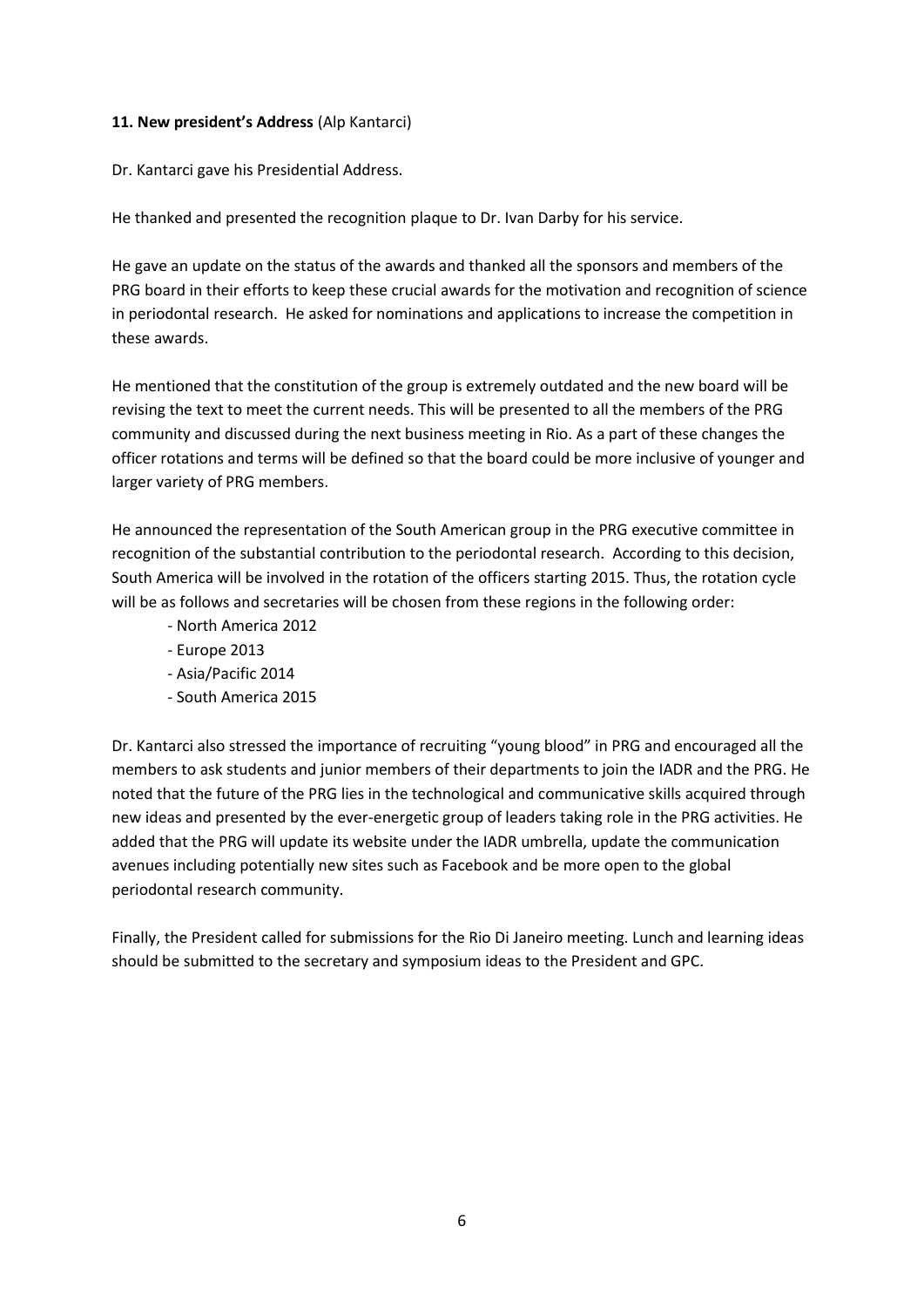#### **11. New president's Address** (Alp Kantarci)

Dr. Kantarci gave his Presidential Address.

He thanked and presented the recognition plaque to Dr. Ivan Darby for his service.

He gave an update on the status of the awards and thanked all the sponsors and members of the PRG board in their efforts to keep these crucial awards for the motivation and recognition of science in periodontal research. He asked for nominations and applications to increase the competition in these awards.

He mentioned that the constitution of the group is extremely outdated and the new board will be revising the text to meet the current needs. This will be presented to all the members of the PRG community and discussed during the next business meeting in Rio. As a part of these changes the officer rotations and terms will be defined so that the board could be more inclusive of younger and larger variety of PRG members.

He announced the representation of the South American group in the PRG executive committee in recognition of the substantial contribution to the periodontal research. According to this decision, South America will be involved in the rotation of the officers starting 2015. Thus, the rotation cycle will be as follows and secretaries will be chosen from these regions in the following order:

- North America 2012
- Europe 2013
- Asia/Pacific 2014
- South America 2015

Dr. Kantarci also stressed the importance of recruiting "young blood" in PRG and encouraged all the members to ask students and junior members of their departments to join the IADR and the PRG. He noted that the future of the PRG lies in the technological and communicative skills acquired through new ideas and presented by the ever-energetic group of leaders taking role in the PRG activities. He added that the PRG will update its website under the IADR umbrella, update the communication avenues including potentially new sites such as Facebook and be more open to the global periodontal research community.

Finally, the President called for submissions for the Rio Di Janeiro meeting. Lunch and learning ideas should be submitted to the secretary and symposium ideas to the President and GPC.